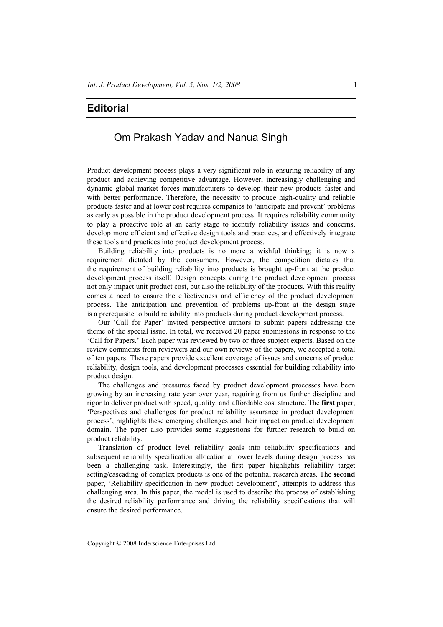## **Editorial**

## Om Prakash Yadav and Nanua Singh

Product development process plays a very significant role in ensuring reliability of any product and achieving competitive advantage. However, increasingly challenging and dynamic global market forces manufacturers to develop their new products faster and with better performance. Therefore, the necessity to produce high-quality and reliable products faster and at lower cost requires companies to 'anticipate and prevent' problems as early as possible in the product development process. It requires reliability community to play a proactive role at an early stage to identify reliability issues and concerns, develop more efficient and effective design tools and practices, and effectively integrate these tools and practices into product development process.

Building reliability into products is no more a wishful thinking; it is now a requirement dictated by the consumers. However, the competition dictates that the requirement of building reliability into products is brought up-front at the product development process itself. Design concepts during the product development process not only impact unit product cost, but also the reliability of the products. With this reality comes a need to ensure the effectiveness and efficiency of the product development process. The anticipation and prevention of problems up-front at the design stage is a prerequisite to build reliability into products during product development process.

Our 'Call for Paper' invited perspective authors to submit papers addressing the theme of the special issue. In total, we received 20 paper submissions in response to the 'Call for Papers.' Each paper was reviewed by two or three subject experts. Based on the review comments from reviewers and our own reviews of the papers, we accepted a total of ten papers. These papers provide excellent coverage of issues and concerns of product reliability, design tools, and development processes essential for building reliability into product design.

The challenges and pressures faced by product development processes have been growing by an increasing rate year over year, requiring from us further discipline and rigor to deliver product with speed, quality, and affordable cost structure. The **first** paper, 'Perspectives and challenges for product reliability assurance in product development process', highlights these emerging challenges and their impact on product development domain. The paper also provides some suggestions for further research to build on product reliability.

Translation of product level reliability goals into reliability specifications and subsequent reliability specification allocation at lower levels during design process has been a challenging task. Interestingly, the first paper highlights reliability target setting/cascading of complex products is one of the potential research areas. The **second** paper, 'Reliability specification in new product development', attempts to address this challenging area. In this paper, the model is used to describe the process of establishing the desired reliability performance and driving the reliability specifications that will ensure the desired performance.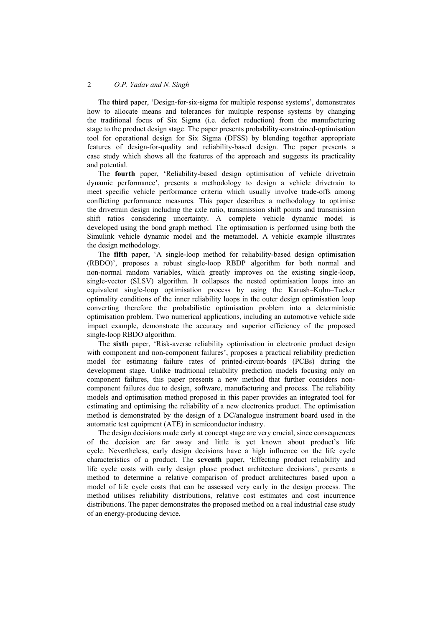## 2 *O.P. Yadav and N. Singh*

The **third** paper, 'Design-for-six-sigma for multiple response systems', demonstrates how to allocate means and tolerances for multiple response systems by changing the traditional focus of Six Sigma (i.e. defect reduction) from the manufacturing stage to the product design stage. The paper presents probability-constrained-optimisation tool for operational design for Six Sigma (DFSS) by blending together appropriate features of design-for-quality and reliability-based design. The paper presents a case study which shows all the features of the approach and suggests its practicality and potential.

The **fourth** paper, 'Reliability-based design optimisation of vehicle drivetrain dynamic performance', presents a methodology to design a vehicle drivetrain to meet specific vehicle performance criteria which usually involve trade-offs among conflicting performance measures. This paper describes a methodology to optimise the drivetrain design including the axle ratio, transmission shift points and transmission shift ratios considering uncertainty. A complete vehicle dynamic model is developed using the bond graph method. The optimisation is performed using both the Simulink vehicle dynamic model and the metamodel. A vehicle example illustrates the design methodology.

The **fifth** paper, 'A single-loop method for reliability-based design optimisation (RBDO)', proposes a robust single-loop RBDP algorithm for both normal and non-normal random variables, which greatly improves on the existing single-loop, single-vector (SLSV) algorithm. It collapses the nested optimisation loops into an equivalent single-loop optimisation process by using the Karush–Kuhn–Tucker optimality conditions of the inner reliability loops in the outer design optimisation loop converting therefore the probabilistic optimisation problem into a deterministic optimisation problem. Two numerical applications, including an automotive vehicle side impact example, demonstrate the accuracy and superior efficiency of the proposed single-loop RBDO algorithm.

The **sixth** paper, 'Risk-averse reliability optimisation in electronic product design with component and non-component failures', proposes a practical reliability prediction model for estimating failure rates of printed-circuit-boards (PCBs) during the development stage. Unlike traditional reliability prediction models focusing only on component failures, this paper presents a new method that further considers noncomponent failures due to design, software, manufacturing and process. The reliability models and optimisation method proposed in this paper provides an integrated tool for estimating and optimising the reliability of a new electronics product. The optimisation method is demonstrated by the design of a DC/analogue instrument board used in the automatic test equipment (ATE) in semiconductor industry.

The design decisions made early at concept stage are very crucial, since consequences of the decision are far away and little is yet known about product's life cycle. Nevertheless, early design decisions have a high influence on the life cycle characteristics of a product. The **seventh** paper, 'Effecting product reliability and life cycle costs with early design phase product architecture decisions', presents a method to determine a relative comparison of product architectures based upon a model of life cycle costs that can be assessed very early in the design process. The method utilises reliability distributions, relative cost estimates and cost incurrence distributions. The paper demonstrates the proposed method on a real industrial case study of an energy-producing device.